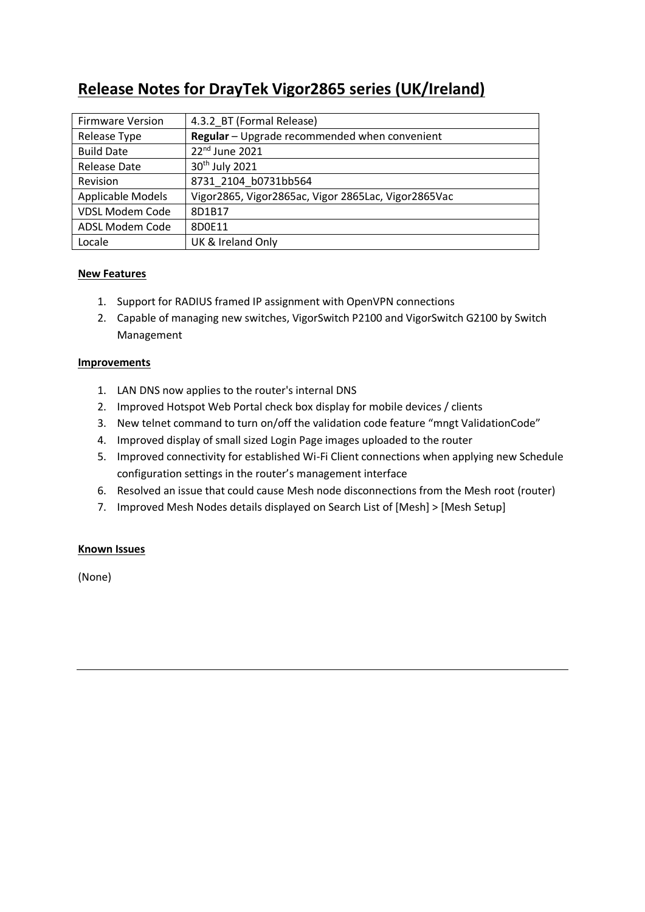# **Release Notes for DrayTek Vigor2865 series (UK/Ireland)**

| <b>Firmware Version</b> | 4.3.2 BT (Formal Release)                           |
|-------------------------|-----------------------------------------------------|
| Release Type            | Regular - Upgrade recommended when convenient       |
| <b>Build Date</b>       | $22nd$ June 2021                                    |
| <b>Release Date</b>     | 30 <sup>th</sup> July 2021                          |
| Revision                | 8731 2104 b0731bb564                                |
| Applicable Models       | Vigor2865, Vigor2865ac, Vigor 2865Lac, Vigor2865Vac |
| <b>VDSL Modem Code</b>  | 8D1B17                                              |
| ADSL Modem Code         | 8D0E11                                              |
| Locale                  | UK & Ireland Only                                   |

# **New Features**

- 1. Support for RADIUS framed IP assignment with OpenVPN connections
- 2. Capable of managing new switches, VigorSwitch P2100 and VigorSwitch G2100 by Switch Management

#### **Improvements**

- 1. LAN DNS now applies to the router's internal DNS
- 2. Improved Hotspot Web Portal check box display for mobile devices / clients
- 3. New telnet command to turn on/off the validation code feature "mngt ValidationCode"
- 4. Improved display of small sized Login Page images uploaded to the router
- 5. Improved connectivity for established Wi-Fi Client connections when applying new Schedule configuration settings in the router's management interface
- 6. Resolved an issue that could cause Mesh node disconnections from the Mesh root (router)
- 7. Improved Mesh Nodes details displayed on Search List of [Mesh] > [Mesh Setup]

# **Known Issues**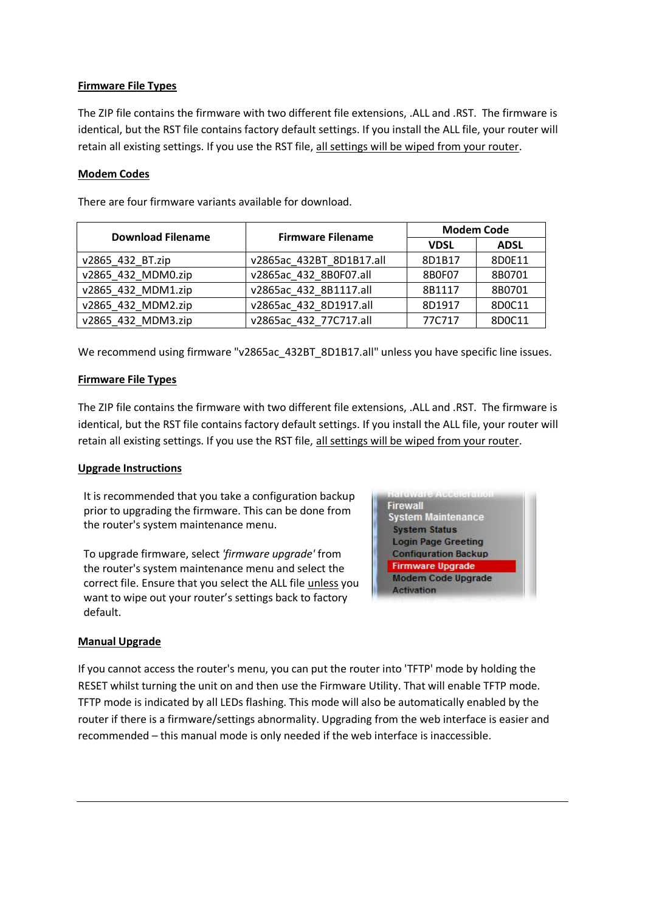### **Firmware File Types**

The ZIP file contains the firmware with two different file extensions, .ALL and .RST. The firmware is identical, but the RST file contains factory default settings. If you install the ALL file, your router will retain all existing settings. If you use the RST file, all settings will be wiped from your router.

#### **Modem Codes**

There are four firmware variants available for download.

| <b>Download Filename</b> | <b>Firmware Filename</b> | <b>Modem Code</b> |             |
|--------------------------|--------------------------|-------------------|-------------|
|                          |                          | <b>VDSL</b>       | <b>ADSL</b> |
| v2865_432_BT.zip         | v2865ac 432BT 8D1B17.all | 8D1B17            | 8D0E11      |
| v2865 432 MDM0.zip       | v2865ac 432 8B0F07.all   | 8B0F07            | 8B0701      |
| v2865 432 MDM1.zip       | v2865ac 432 8B1117.all   | 8B1117            | 8B0701      |
| v2865 432 MDM2.zip       | v2865ac 432 8D1917.all   | 8D1917            | 8D0C11      |
| v2865 432 MDM3.zip       | v2865ac 432 77C717.all   | 77C717            | 8D0C11      |

We recommend using firmware "v2865ac 432BT 8D1B17.all" unless you have specific line issues.

#### **Firmware File Types**

The ZIP file contains the firmware with two different file extensions, .ALL and .RST. The firmware is identical, but the RST file contains factory default settings. If you install the ALL file, your router will retain all existing settings. If you use the RST file, all settings will be wiped from your router.

#### **Upgrade Instructions**

It is recommended that you take a configuration backup prior to upgrading the firmware. This can be done from the router's system maintenance menu.

To upgrade firmware, select *'firmware upgrade'* from the router's system maintenance menu and select the correct file. Ensure that you select the ALL file unless you want to wipe out your router's settings back to factory default.



#### **Manual Upgrade**

If you cannot access the router's menu, you can put the router into 'TFTP' mode by holding the RESET whilst turning the unit on and then use the Firmware Utility. That will enable TFTP mode. TFTP mode is indicated by all LEDs flashing. This mode will also be automatically enabled by the router if there is a firmware/settings abnormality. Upgrading from the web interface is easier and recommended – this manual mode is only needed if the web interface is inaccessible.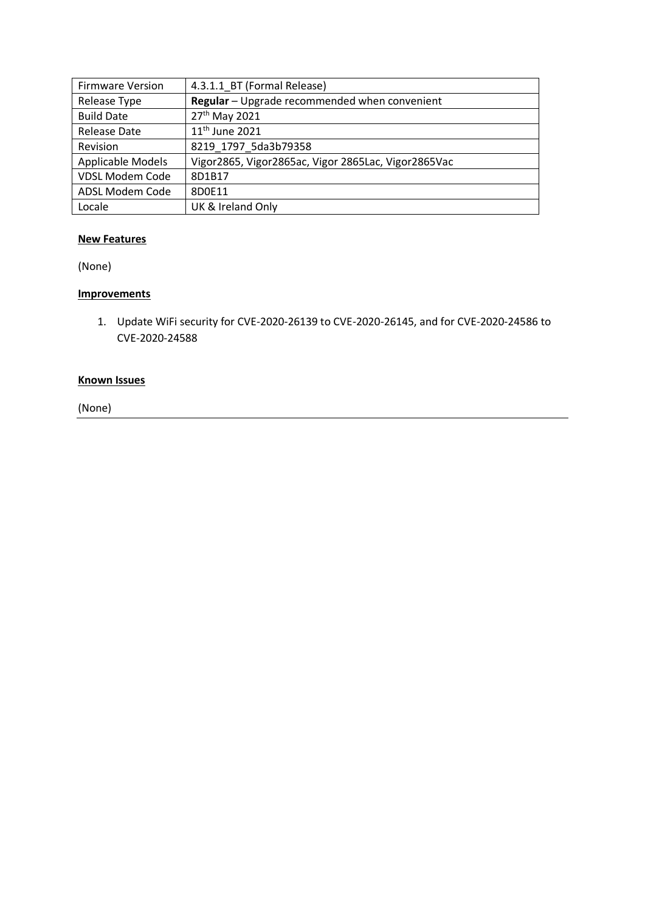| <b>Firmware Version</b> | 4.3.1.1 BT (Formal Release)                         |
|-------------------------|-----------------------------------------------------|
| Release Type            | Regular - Upgrade recommended when convenient       |
| <b>Build Date</b>       | 27 <sup>th</sup> May 2021                           |
| <b>Release Date</b>     | 11 <sup>th</sup> June 2021                          |
| Revision                | 8219 1797 5da3b79358                                |
| Applicable Models       | Vigor2865, Vigor2865ac, Vigor 2865Lac, Vigor2865Vac |
| <b>VDSL Modem Code</b>  | 8D1B17                                              |
| ADSL Modem Code         | 8D0E11                                              |
| Locale                  | UK & Ireland Only                                   |

(None)

# **Improvements**

1. Update WiFi security for CVE-2020-26139 to CVE-2020-26145, and for CVE-2020-24586 to CVE-2020-24588

#### **Known Issues**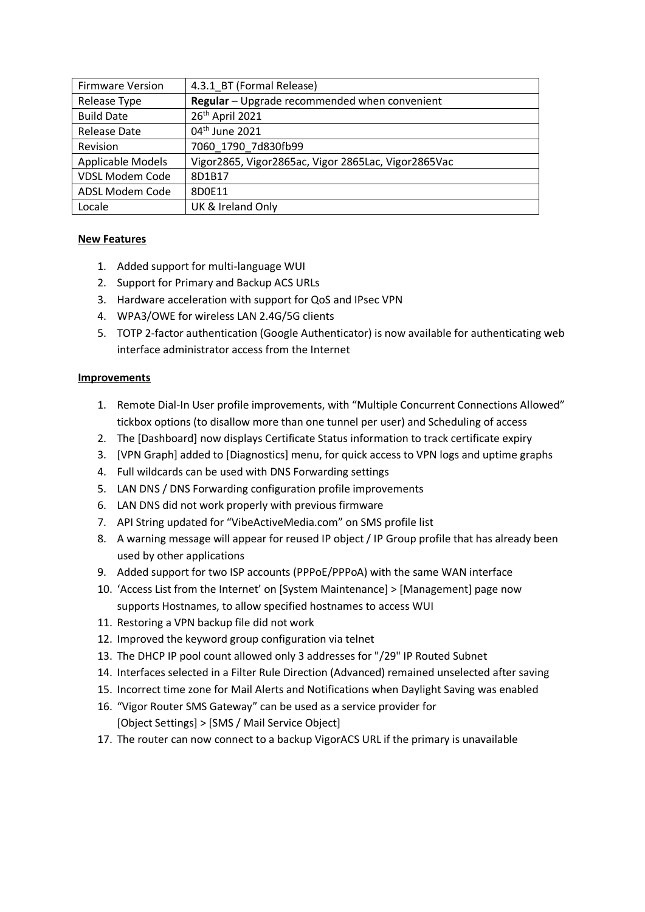| <b>Firmware Version</b> | 4.3.1_BT (Formal Release)                           |
|-------------------------|-----------------------------------------------------|
| Release Type            | Regular - Upgrade recommended when convenient       |
| <b>Build Date</b>       | 26 <sup>th</sup> April 2021                         |
| <b>Release Date</b>     | 04 <sup>th</sup> June 2021                          |
| Revision                | 7060 1790 7d830fb99                                 |
| Applicable Models       | Vigor2865, Vigor2865ac, Vigor 2865Lac, Vigor2865Vac |
| <b>VDSL Modem Code</b>  | 8D1B17                                              |
| ADSL Modem Code         | 8D0E11                                              |
| Locale                  | UK & Ireland Only                                   |

- 1. Added support for multi-language WUI
- 2. Support for Primary and Backup ACS URLs
- 3. Hardware acceleration with support for QoS and IPsec VPN
- 4. WPA3/OWE for wireless LAN 2.4G/5G clients
- 5. TOTP 2-factor authentication (Google Authenticator) is now available for authenticating web interface administrator access from the Internet

#### **Improvements**

- 1. Remote Dial-In User profile improvements, with "Multiple Concurrent Connections Allowed" tickbox options (to disallow more than one tunnel per user) and Scheduling of access
- 2. The [Dashboard] now displays Certificate Status information to track certificate expiry
- 3. [VPN Graph] added to [Diagnostics] menu, for quick access to VPN logs and uptime graphs
- 4. Full wildcards can be used with DNS Forwarding settings
- 5. LAN DNS / DNS Forwarding configuration profile improvements
- 6. LAN DNS did not work properly with previous firmware
- 7. API String updated for "VibeActiveMedia.com" on SMS profile list
- 8. A warning message will appear for reused IP object / IP Group profile that has already been used by other applications
- 9. Added support for two ISP accounts (PPPoE/PPPoA) with the same WAN interface
- 10. 'Access List from the Internet' on [System Maintenance] > [Management] page now supports Hostnames, to allow specified hostnames to access WUI
- 11. Restoring a VPN backup file did not work
- 12. Improved the keyword group configuration via telnet
- 13. The DHCP IP pool count allowed only 3 addresses for "/29" IP Routed Subnet
- 14. Interfaces selected in a Filter Rule Direction (Advanced) remained unselected after saving
- 15. Incorrect time zone for Mail Alerts and Notifications when Daylight Saving was enabled
- 16. "Vigor Router SMS Gateway" can be used as a service provider for [Object Settings] > [SMS / Mail Service Object]
- 17. The router can now connect to a backup VigorACS URL if the primary is unavailable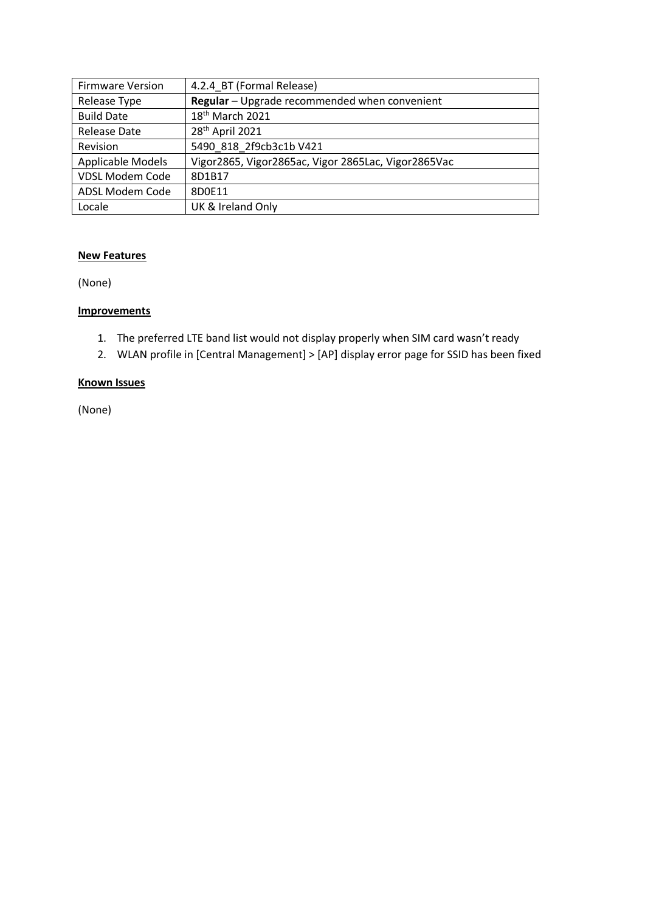| <b>Firmware Version</b>  | 4.2.4 BT (Formal Release)                           |
|--------------------------|-----------------------------------------------------|
| Release Type             | Regular - Upgrade recommended when convenient       |
| <b>Build Date</b>        | 18 <sup>th</sup> March 2021                         |
| <b>Release Date</b>      | 28 <sup>th</sup> April 2021                         |
| Revision                 | 5490 818 2f9cb3c1b V421                             |
| <b>Applicable Models</b> | Vigor2865, Vigor2865ac, Vigor 2865Lac, Vigor2865Vac |
| <b>VDSL Modem Code</b>   | 8D1B17                                              |
| ADSL Modem Code          | 8D0E11                                              |
| Locale                   | UK & Ireland Only                                   |

(None)

#### **Improvements**

- 1. The preferred LTE band list would not display properly when SIM card wasn't ready
- 2. WLAN profile in [Central Management] > [AP] display error page for SSID has been fixed

#### **Known Issues**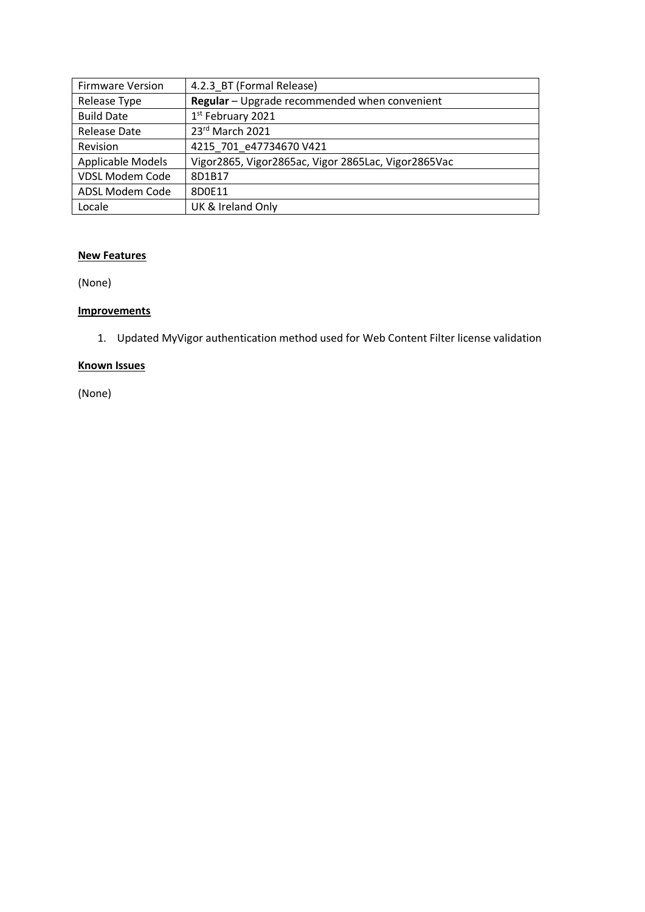| <b>Firmware Version</b> | 4.2.3 BT (Formal Release)                           |
|-------------------------|-----------------------------------------------------|
| Release Type            | Regular - Upgrade recommended when convenient       |
| <b>Build Date</b>       | 1st February 2021                                   |
| Release Date            | 23rd March 2021                                     |
| Revision                | 4215 701 e47734670 V421                             |
| Applicable Models       | Vigor2865, Vigor2865ac, Vigor 2865Lac, Vigor2865Vac |
| <b>VDSL Modem Code</b>  | 8D1B17                                              |
| ADSL Modem Code         | 8D0E11                                              |
| Locale                  | UK & Ireland Only                                   |

(None)

#### **Improvements**

1. Updated MyVigor authentication method used for Web Content Filter license validation

# **Known Issues**